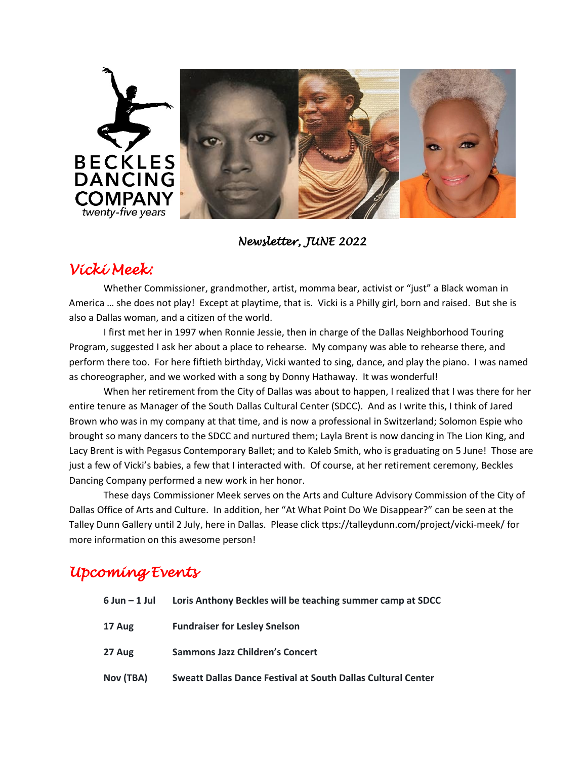

#### *Newsletter, JUNE 2022*

### *Vicki Meek:*

Whether Commissioner, grandmother, artist, momma bear, activist or "just" a Black woman in America … she does not play! Except at playtime, that is. Vicki is a Philly girl, born and raised. But she is also a Dallas woman, and a citizen of the world.

I first met her in 1997 when Ronnie Jessie, then in charge of the Dallas Neighborhood Touring Program, suggested I ask her about a place to rehearse. My company was able to rehearse there, and perform there too. For here fiftieth birthday, Vicki wanted to sing, dance, and play the piano. I was named as choreographer, and we worked with a song by Donny Hathaway. It was wonderful!

When her retirement from the City of Dallas was about to happen, I realized that I was there for her entire tenure as Manager of the South Dallas Cultural Center (SDCC). And as I write this, I think of Jared Brown who was in my company at that time, and is now a professional in Switzerland; Solomon Espie who brought so many dancers to the SDCC and nurtured them; Layla Brent is now dancing in The Lion King, and Lacy Brent is with Pegasus Contemporary Ballet; and to Kaleb Smith, who is graduating on 5 June! Those are just a few of Vicki's babies, a few that I interacted with. Of course, at her retirement ceremony, Beckles Dancing Company performed a new work in her honor.

These days Commissioner Meek serves on the Arts and Culture Advisory Commission of the City of Dallas Office of Arts and Culture. In addition, her "At What Point Do We Disappear?" can be seen at the Talley Dunn Gallery until 2 July, here in Dallas. Please click ttps://talleydunn.com/project/vicki-meek/ for more information on this awesome person!

# *Upcoming Events*

| 6 Jun – 1 Jul | Loris Anthony Beckles will be teaching summer camp at SDCC   |
|---------------|--------------------------------------------------------------|
| 17 Aug        | <b>Fundraiser for Lesley Snelson</b>                         |
| 27 Aug        | <b>Sammons Jazz Children's Concert</b>                       |
| Nov (TBA)     | Sweatt Dallas Dance Festival at South Dallas Cultural Center |